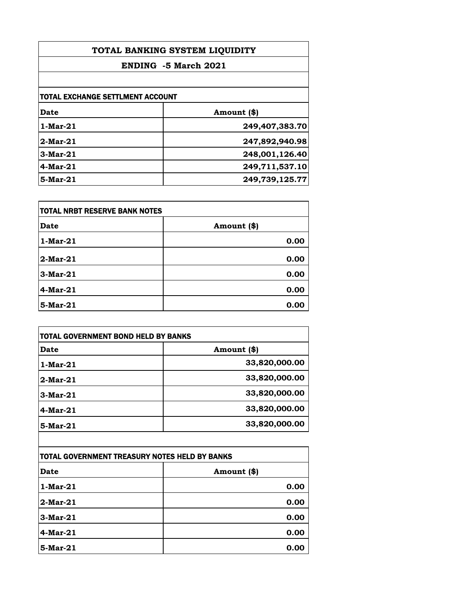| TOTAL BANKING SYSTEM LIQUIDITY<br>ENDING -5 March 2021 |                |
|--------------------------------------------------------|----------------|
|                                                        |                |
| <b>TOTAL EXCHANGE SETTLMENT ACCOUNT</b>                |                |
| Date                                                   | Amount (\$)    |
| $1-Mar-21$                                             | 249,407,383.70 |
| $2$ -Mar- $21$                                         | 247,892,940.98 |
| $3-Mar-21$                                             | 248,001,126.40 |
| $4$ -Mar-21                                            | 249,711,537.10 |
| 5-Mar-21                                               | 249,739,125.77 |

| TOTAL NRBT RESERVE BANK NOTES |             |
|-------------------------------|-------------|
| Date                          | Amount (\$) |
| $1-Mar-21$                    | 0.00        |
| $2-Mar-21$                    | 0.00        |
| $3-Mar-21$                    | 0.00        |
| $4$ -Mar-21                   | 0.00        |
| 5-Mar-21                      | 0.00        |

|             | <b>TOTAL GOVERNMENT BOND HELD BY BANKS</b> |  |
|-------------|--------------------------------------------|--|
| Date        | Amount (\$)                                |  |
| $1-Mar-21$  | 33,820,000.00                              |  |
| $2$ -Mar-21 | 33,820,000.00                              |  |
| $3-Mar-21$  | 33,820,000.00                              |  |
| $4$ -Mar-21 | 33,820,000.00                              |  |
| $5-Mar-21$  | 33,820,000.00                              |  |

| TOTAL GOVERNMENT TREASURY NOTES HELD BY BANKS |             |
|-----------------------------------------------|-------------|
| <b>Date</b>                                   | Amount (\$) |
| $1-Mar-21$                                    | 0.00        |
| $2-Mar-21$                                    | 0.00        |
| $3-Mar-21$                                    | 0.00        |
| $4$ -Mar-21                                   | 0.00        |
| 5-Mar-21                                      | 0.00        |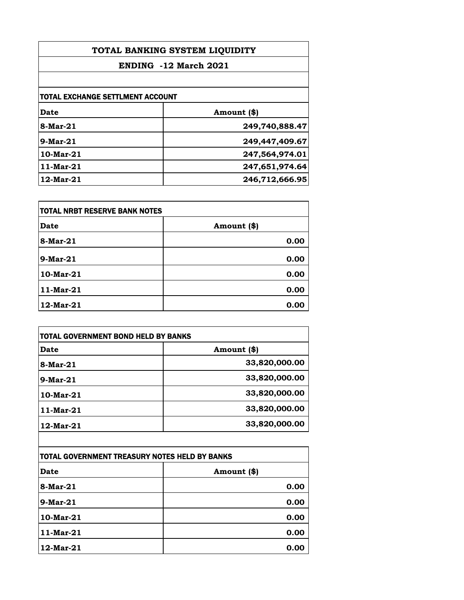| TOTAL BANKING SYSTEM LIQUIDITY<br>ENDING -12 March 2021 |                |
|---------------------------------------------------------|----------------|
|                                                         |                |
| <b>TOTAL EXCHANGE SETTLMENT ACCOUNT</b>                 |                |
| Date                                                    | Amount (\$)    |
| 8-Mar-21                                                | 249,740,888.47 |
| $9$ -Mar-21                                             | 249,447,409.67 |
| $10$ -Mar- $21$                                         | 247,564,974.01 |
| $11$ -Mar- $21$                                         | 247,651,974.64 |
| $12$ -Mar- $21$                                         | 246,712,666.95 |

| itotal NRBT RESERVE BANK NOTES |             |
|--------------------------------|-------------|
| Date                           | Amount (\$) |
| 8-Mar-21                       | 0.00        |
| $9$ -Mar-21                    | 0.00        |
| 10-Mar-21                      | 0.00        |
| 11-Mar-21                      | 0.00        |
| 12-Mar-21                      | 0.00        |

|                 | <b>TOTAL GOVERNMENT BOND HELD BY BANKS</b> |  |
|-----------------|--------------------------------------------|--|
| Date            | Amount (\$)                                |  |
| 8-Mar-21        | 33,820,000.00                              |  |
| $9-Mar-21$      | 33,820,000.00                              |  |
| $10$ -Mar- $21$ | 33,820,000.00                              |  |
| 11-Mar-21       | 33,820,000.00                              |  |
| 12-Mar-21       | 33,820,000.00                              |  |

| TOTAL GOVERNMENT TREASURY NOTES HELD BY BANKS |             |
|-----------------------------------------------|-------------|
| <b>Date</b>                                   | Amount (\$) |
| $8$ -Mar-21                                   | 0.00        |
| $9-Mar-21$                                    | 0.00        |
| 10-Mar-21                                     | 0.00        |
| 11-Mar-21                                     | 0.00        |
| 12-Mar-21                                     | 0.00        |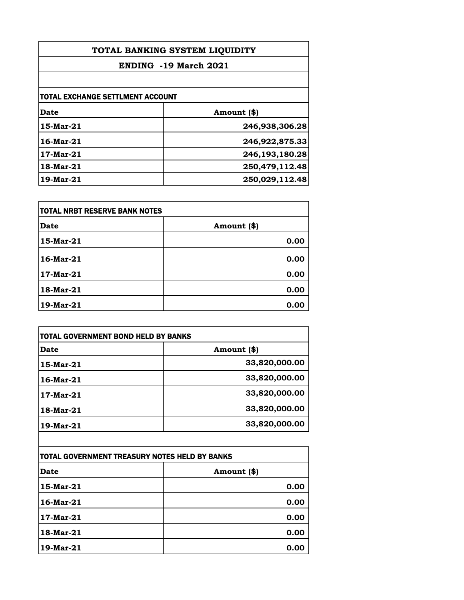| TOTAL BANKING SYSTEM LIQUIDITY<br>ENDING -19 March 2021 |                |                                         |             |
|---------------------------------------------------------|----------------|-----------------------------------------|-------------|
|                                                         |                | <b>TOTAL EXCHANGE SETTLMENT ACCOUNT</b> |             |
|                                                         |                | Date                                    | Amount (\$) |
| 15-Mar-21                                               | 246,938,306.28 |                                         |             |
| $16$ -Mar- $21$                                         | 246,922,875.33 |                                         |             |
| $17$ -Mar- $21$                                         | 246,193,180.28 |                                         |             |
| 18-Mar-21                                               | 250,479,112.48 |                                         |             |
| 19-Mar-21                                               | 250,029,112.48 |                                         |             |

| TOTAL NRBT RESERVE BANK NOTES |             |
|-------------------------------|-------------|
| <b>Date</b>                   | Amount (\$) |
| 15-Mar-21                     | 0.00        |
| 16-Mar-21                     | 0.00        |
| 17-Mar-21                     | 0.00        |
| 18-Mar-21                     | 0.00        |
| 19-Mar-21                     | 0.00        |

| TOTAL GOVERNMENT BOND HELD BY BANKS |               |
|-------------------------------------|---------------|
| Date                                | Amount (\$)   |
| 15-Mar-21                           | 33,820,000.00 |
| $16$ -Mar- $21$                     | 33,820,000.00 |
| 17-Mar-21                           | 33,820,000.00 |
| 18-Mar-21                           | 33,820,000.00 |
| 19-Mar-21                           | 33,820,000.00 |

| TOTAL GOVERNMENT TREASURY NOTES HELD BY BANKS |             |
|-----------------------------------------------|-------------|
| <b>Date</b>                                   | Amount (\$) |
| 15-Mar-21                                     | 0.00        |
| $16$ -Mar-21                                  | 0.00        |
| 17-Mar-21                                     | 0.00        |
| 18-Mar-21                                     | 0.00        |
| 19-Mar-21                                     | 0.00        |